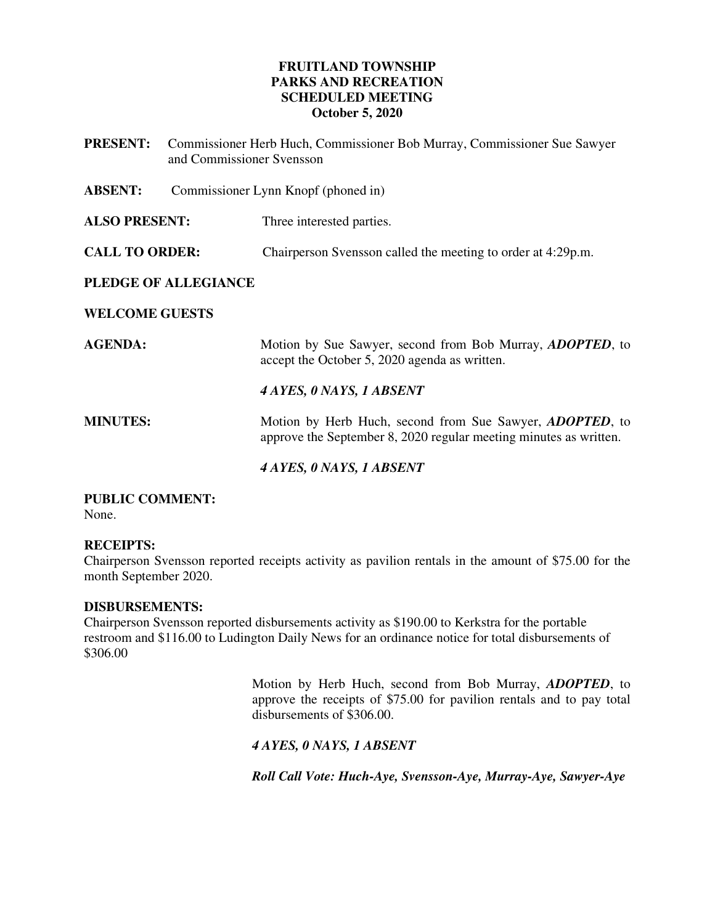## **FRUITLAND TOWNSHIP PARKS AND RECREATION SCHEDULED MEETING October 5, 2020**

| <b>PRESENT:</b>       | Commissioner Herb Huch, Commissioner Bob Murray, Commissioner Sue Sawyer<br>and Commissioner Svensson |                                                                                                                                       |
|-----------------------|-------------------------------------------------------------------------------------------------------|---------------------------------------------------------------------------------------------------------------------------------------|
| <b>ABSENT:</b>        | Commissioner Lynn Knopf (phoned in)                                                                   |                                                                                                                                       |
| <b>ALSO PRESENT:</b>  |                                                                                                       | Three interested parties.                                                                                                             |
| <b>CALL TO ORDER:</b> |                                                                                                       | Chairperson Svensson called the meeting to order at 4:29p.m.                                                                          |
| PLEDGE OF ALLEGIANCE  |                                                                                                       |                                                                                                                                       |
| <b>WELCOME GUESTS</b> |                                                                                                       |                                                                                                                                       |
| <b>AGENDA:</b>        |                                                                                                       | Motion by Sue Sawyer, second from Bob Murray, <i>ADOPTED</i> , to<br>accept the October 5, 2020 agenda as written.                    |
|                       |                                                                                                       | 4 AYES, 0 NAYS, 1 ABSENT                                                                                                              |
| <b>MINUTES:</b>       |                                                                                                       | Motion by Herb Huch, second from Sue Sawyer, <i>ADOPTED</i> , to<br>approve the September 8, 2020 regular meeting minutes as written. |
|                       |                                                                                                       | 4 AYES, 0 NAYS, 1 ABSENT                                                                                                              |

# **PUBLIC COMMENT:**

None.

## **RECEIPTS:**

Chairperson Svensson reported receipts activity as pavilion rentals in the amount of \$75.00 for the month September 2020.

#### **DISBURSEMENTS:**

Chairperson Svensson reported disbursements activity as \$190.00 to Kerkstra for the portable restroom and \$116.00 to Ludington Daily News for an ordinance notice for total disbursements of \$306.00

> Motion by Herb Huch, second from Bob Murray, *ADOPTED*, to approve the receipts of \$75.00 for pavilion rentals and to pay total disbursements of \$306.00.

*4 AYES, 0 NAYS, 1 ABSENT* 

*Roll Call Vote: Huch-Aye, Svensson-Aye, Murray-Aye, Sawyer-Aye*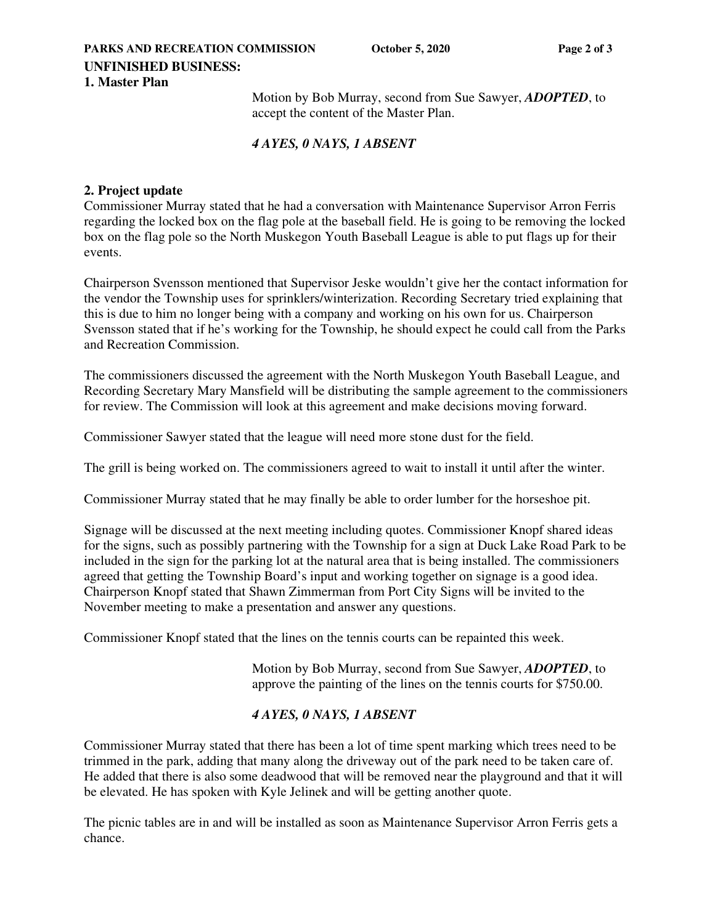#### **PARKS AND RECREATION COMMISSION** October 5, 2020 Page 2 of 3 **UNFINISHED BUSINESS: 1. Master Plan**

Motion by Bob Murray, second from Sue Sawyer, *ADOPTED*, to accept the content of the Master Plan.

## *4 AYES, 0 NAYS, 1 ABSENT*

## **2. Project update**

Commissioner Murray stated that he had a conversation with Maintenance Supervisor Arron Ferris regarding the locked box on the flag pole at the baseball field. He is going to be removing the locked box on the flag pole so the North Muskegon Youth Baseball League is able to put flags up for their events.

Chairperson Svensson mentioned that Supervisor Jeske wouldn't give her the contact information for the vendor the Township uses for sprinklers/winterization. Recording Secretary tried explaining that this is due to him no longer being with a company and working on his own for us. Chairperson Svensson stated that if he's working for the Township, he should expect he could call from the Parks and Recreation Commission.

The commissioners discussed the agreement with the North Muskegon Youth Baseball League, and Recording Secretary Mary Mansfield will be distributing the sample agreement to the commissioners for review. The Commission will look at this agreement and make decisions moving forward.

Commissioner Sawyer stated that the league will need more stone dust for the field.

The grill is being worked on. The commissioners agreed to wait to install it until after the winter.

Commissioner Murray stated that he may finally be able to order lumber for the horseshoe pit.

Signage will be discussed at the next meeting including quotes. Commissioner Knopf shared ideas for the signs, such as possibly partnering with the Township for a sign at Duck Lake Road Park to be included in the sign for the parking lot at the natural area that is being installed. The commissioners agreed that getting the Township Board's input and working together on signage is a good idea. Chairperson Knopf stated that Shawn Zimmerman from Port City Signs will be invited to the November meeting to make a presentation and answer any questions.

Commissioner Knopf stated that the lines on the tennis courts can be repainted this week.

Motion by Bob Murray, second from Sue Sawyer, *ADOPTED*, to approve the painting of the lines on the tennis courts for \$750.00.

# *4 AYES, 0 NAYS, 1 ABSENT*

Commissioner Murray stated that there has been a lot of time spent marking which trees need to be trimmed in the park, adding that many along the driveway out of the park need to be taken care of. He added that there is also some deadwood that will be removed near the playground and that it will be elevated. He has spoken with Kyle Jelinek and will be getting another quote.

The picnic tables are in and will be installed as soon as Maintenance Supervisor Arron Ferris gets a chance.